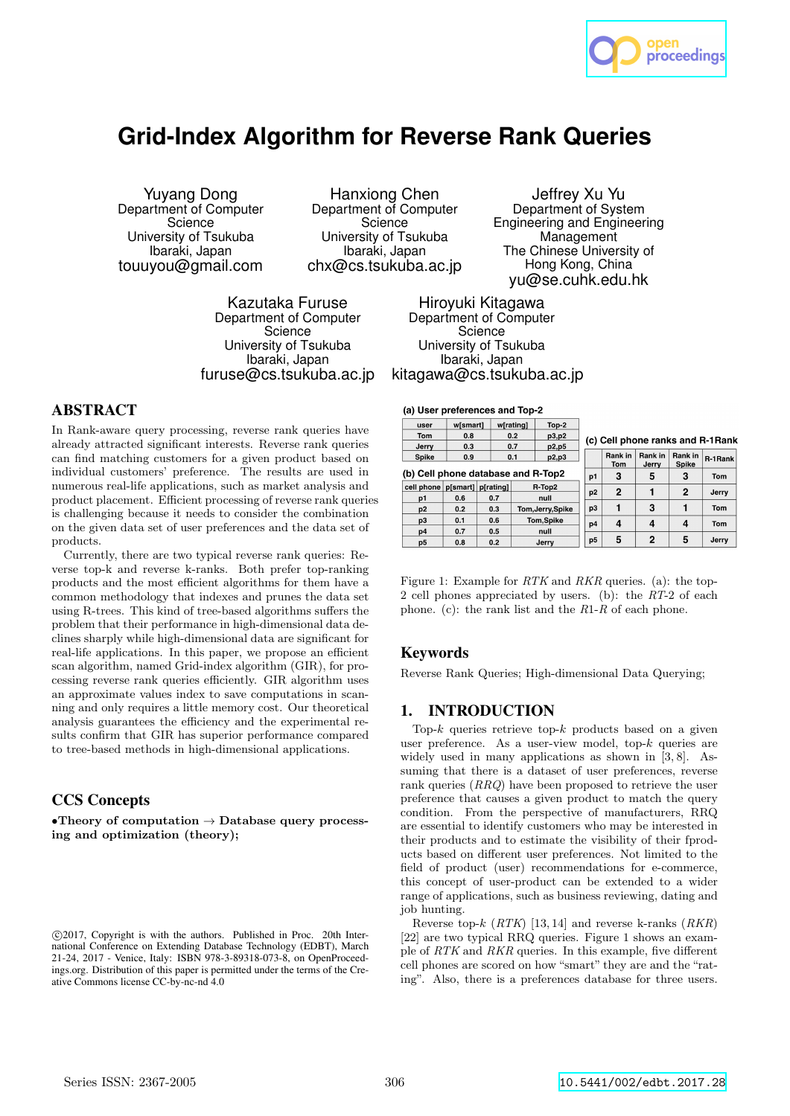

# **Grid-Index Algorithm for Reverse Rank Queries**

Yuyang Dong Department of Computer **Science** University of Tsukuba Ibaraki, Japan touuyou@gmail.com

Hanxiong Chen Department of Computer **Science** University of Tsukuba Ibaraki, Japan chx@cs.tsukuba.ac.jp

Kazutaka Furuse Department of Computer Science University of Tsukuba Ibaraki, Japan furuse@cs.tsukuba.ac.jp

Jeffrey Xu Yu Department of System Engineering and Engineering **Management** The Chinese University of Hong Kong, China yu@se.cuhk.edu.hk

Hiroyuki Kitagawa Department of Computer **Science** University of Tsukuba Ibaraki, Japan kitagawa@cs.tsukuba.ac.jp

(a) User preferences and Top-2

# ABSTRACT

In Rank-aware query processing, reverse rank queries have already attracted significant interests. Reverse rank queries can find matching customers for a given product based on individual customers' preference. The results are used in numerous real-life applications, such as market analysis and product placement. Efficient processing of reverse rank queries is challenging because it needs to consider the combination on the given data set of user preferences and the data set of products.

Currently, there are two typical reverse rank queries: Reverse top-k and reverse k-ranks. Both prefer top-ranking products and the most efficient algorithms for them have a common methodology that indexes and prunes the data set using R-trees. This kind of tree-based algorithms suffers the problem that their performance in high-dimensional data declines sharply while high-dimensional data are significant for real-life applications. In this paper, we propose an efficient scan algorithm, named Grid-index algorithm (GIR), for processing reverse rank queries efficiently. GIR algorithm uses an approximate values index to save computations in scanning and only requires a little memory cost. Our theoretical analysis guarantees the efficiency and the experimental results confirm that GIR has superior performance compared to tree-based methods in high-dimensional applications.

## CCS Concepts

•Theory of computation  $\rightarrow$  Database query processing and optimization (theory);

 $\overline{u}$ wismartl wiratingl  $Top-2$ Tom  $0.8$  $0.2$  $\overline{p3.p2}$ (c) Cell phone ranks and R-1Rank Jerry  $0.3$  $0.7$  $p2.p5$ Rank in R-1 Rank Rank in Rank in Spike  $0.9$  $0.1$ p2,p3 Tom Spike (b) Cell phone database and R-Top2  $p1$ 3 5  $\overline{\mathbf{3}}$ Tom cell phone p[smart] p[rating] R-Top2  $\overline{2}$  $\mathbf{1}$  $\overline{2}$  $p2$ Jerry  $p1$  $0.6$  $0.7$ null  $\overline{\mathbf{3}}$  $\mathbf{1}$  $\overline{1}$  $p3$  $0.2$  $\overline{0.3}$ Tom  $p2$ Tom, Jerry, Spike p3  $0.1$  $0.6$ Tom, Spike  $\overline{a}$  $p4$  $\overline{4}$  $\Delta$ Tom  $0.5$  $p4$  $0.7$ null  $\overline{a}$  $p<sub>5</sub>$ 5 5 Jerry  $\overline{0.2}$ p<sub>5</sub>  $0.8$ Jerry

Figure 1: Example for RTK and RKR queries. (a): the top-2 cell phones appreciated by users. (b): the RT-2 of each phone. (c): the rank list and the  $R1-R$  of each phone.

## Keywords

Reverse Rank Queries; High-dimensional Data Querying;

## 1. INTRODUCTION

Top- $k$  queries retrieve top- $k$  products based on a given user preference. As a user-view model, top- $k$  queries are widely used in many applications as shown in [3, 8]. Assuming that there is a dataset of user preferences, reverse rank queries (RRQ) have been proposed to retrieve the user preference that causes a given product to match the query condition. From the perspective of manufacturers, RRQ are essential to identify customers who may be interested in their products and to estimate the visibility of their fproducts based on different user preferences. Not limited to the field of product (user) recommendations for e-commerce, this concept of user-product can be extended to a wider range of applications, such as business reviewing, dating and job hunting.

Reverse top-k  $(RTK)$  [13, 14] and reverse k-ranks  $(RKR)$ [22] are two typical RRQ queries. Figure 1 shows an example of RTK and RKR queries. In this example, five different cell phones are scored on how "smart" they are and the "rating". Also, there is a preferences database for three users.

c 2017, Copyright is with the authors. Published in Proc. 20th International Conference on Extending Database Technology (EDBT), March 21-24, 2017 - Venice, Italy: ISBN 978-3-89318-073-8, on OpenProceedings.org. Distribution of this paper is permitted under the terms of the Creative Commons license CC-by-nc-nd 4.0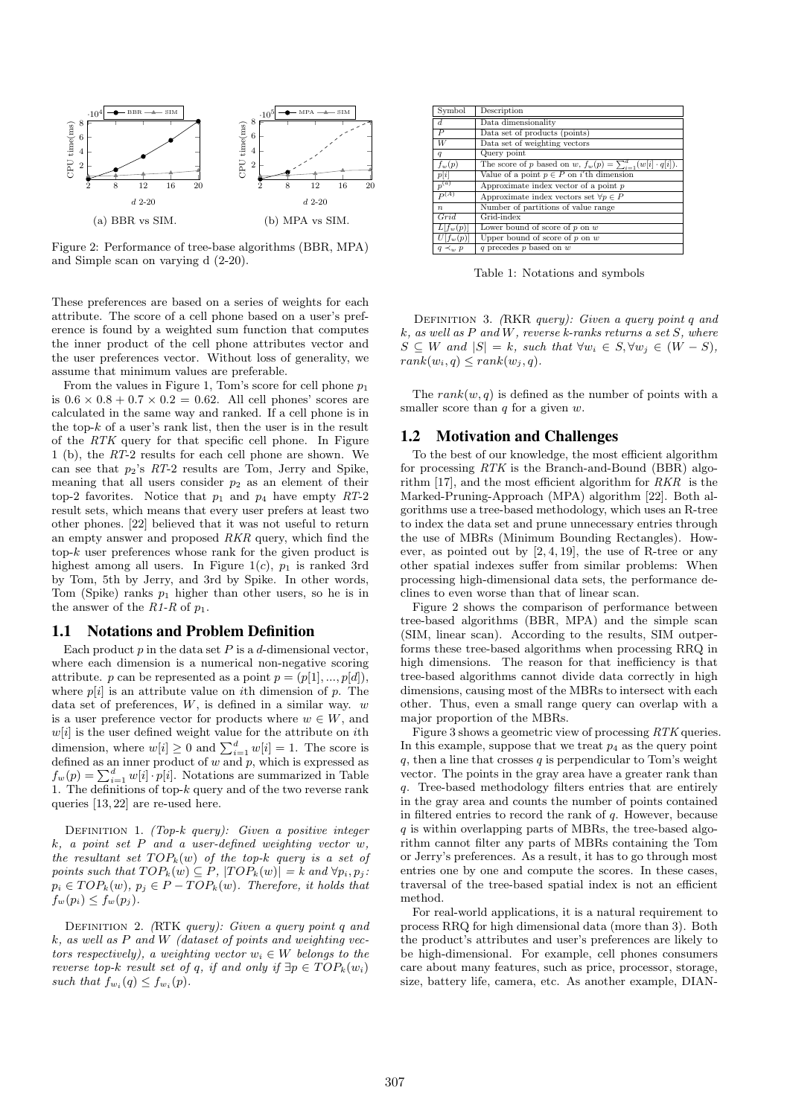

Figure 2: Performance of tree-base algorithms (BBR, MPA) and Simple scan on varying d (2-20).

These preferences are based on a series of weights for each attribute. The score of a cell phone based on a user's preference is found by a weighted sum function that computes the inner product of the cell phone attributes vector and the user preferences vector. Without loss of generality, we assume that minimum values are preferable.

From the values in Figure 1, Tom's score for cell phone  $p_1$ is  $0.6 \times 0.8 + 0.7 \times 0.2 = 0.62$ . All cell phones' scores are calculated in the same way and ranked. If a cell phone is in the top- $k$  of a user's rank list, then the user is in the result of the RTK query for that specific cell phone. In Figure 1 (b), the RT-2 results for each cell phone are shown. We can see that  $p_2$ 's  $RT-2$  results are Tom, Jerry and Spike, meaning that all users consider  $p_2$  as an element of their top-2 favorites. Notice that  $p_1$  and  $p_4$  have empty RT-2 result sets, which means that every user prefers at least two other phones. [22] believed that it was not useful to return an empty answer and proposed RKR query, which find the  $top-k$  user preferences whose rank for the given product is highest among all users. In Figure 1(c),  $p_1$  is ranked 3rd by Tom, 5th by Jerry, and 3rd by Spike. In other words, Tom (Spike) ranks  $p_1$  higher than other users, so he is in the answer of the  $R1-R$  of  $p_1$ .

## 1.1 Notations and Problem Definition

Each product  $p$  in the data set  $P$  is a d-dimensional vector. where each dimension is a numerical non-negative scoring attribute. p can be represented as a point  $p = (p[1], ..., p[d])$ . where  $p[i]$  is an attribute value on *i*th dimension of p. The data set of preferences,  $W$ , is defined in a similar way.  $w$ is a user preference vector for products where  $w \in W$ , and  $w[i]$  is the user defined weight value for the attribute on *i*th dimension, where  $w[i] \geq 0$  and  $\sum_{i=1}^{d} w[i] = 1$ . The score is defined as an inner product of w and  $p$ , which is expressed as  $f_w(p) = \sum_{i=1}^d w[i] \cdot p[i]$ . Notations are summarized in Table 1. The definitions of top- $k$  query and of the two reverse rank queries [13, 22] are re-used here.

DEFINITION 1. (Top-k query): Given a positive integer  $k, a point set P and a user-defined weighting vector w,$ the resultant set  $TOP_k(w)$  of the top-k query is a set of points such that  $TOP_k(w) \subseteq P$ ,  $|TOP_k(w)| = k$  and  $\forall p_i, p_j$ :  $p_i \in TOP_k(w), p_j \in P - TOP_k(w)$ . Therefore, it holds that  $f_w(p_i) \leq f_w(p_j)$ .

DEFINITION 2. (RTK query): Given a query point q and  $k$ , as well as  $P$  and  $W$  (dataset of points and weighting vectors respectively), a weighting vector  $w_i \in W$  belongs to the reverse top-k result set of q, if and only if  $\exists p \in TOP_k(w_i)$ such that  $f_{w_i}(q) \leq f_{w_i}(p)$ .

| Symbol                 | Description                                                            |
|------------------------|------------------------------------------------------------------------|
| d                      | Data dimensionality                                                    |
| P                      | Data set of products (points)                                          |
| W                      | Data set of weighting vectors                                          |
| $\boldsymbol{q}$       | Query point                                                            |
| $f_w(p)$               | The score of p based on w, $f_w(p) = \sum_{i=1}^d (w[i] \cdot q[i])$ . |
| p[i]                   | Value of a point $p \in P$ on i'th dimension                           |
| $p^{(a)}$              | Approximate index vector of a point $p$                                |
| $P^{(A)}$              | Approximate index vectors set $\forall p \in P$                        |
| $\boldsymbol{n}$       | Number of partitions of value range                                    |
| Grid                   | Grid-index                                                             |
| $L[f_w(p)]$            | Lower bound of score of $p$ on $w$                                     |
| $\overline{U[f_w(p)]}$ | Upper bound of score of $p$ on $w$                                     |
| $q \prec_w p$          | q precedes $\overline{p}$ based on $w$                                 |

Table 1: Notations and symbols

DEFINITION 3. (RKR query): Given a query point q and  $k, as well as P and W, reverse k-ranks returns a set S, where$  $S \subseteq W$  and  $|S| = k$ , such that  $\forall w_i \in S, \forall w_j \in (W - S)$ ,  $rank(w_i, q) \leq rank(w_i, q)$ .

The  $rank(w, q)$  is defined as the number of points with a smaller score than  $q$  for a given  $w$ .

#### 1.2 Motivation and Challenges

To the best of our knowledge, the most efficient algorithm for processing RTK is the Branch-and-Bound (BBR) algorithm [17], and the most efficient algorithm for RKR is the Marked-Pruning-Approach (MPA) algorithm [22]. Both algorithms use a tree-based methodology, which uses an R-tree to index the data set and prune unnecessary entries through the use of MBRs (Minimum Bounding Rectangles). However, as pointed out by  $[2, 4, 19]$ , the use of R-tree or any other spatial indexes suffer from similar problems: When processing high-dimensional data sets, the performance declines to even worse than that of linear scan.

Figure 2 shows the comparison of performance between tree-based algorithms (BBR, MPA) and the simple scan (SIM, linear scan). According to the results, SIM outperforms these tree-based algorithms when processing RRQ in high dimensions. The reason for that inefficiency is that tree-based algorithms cannot divide data correctly in high dimensions, causing most of the MBRs to intersect with each other. Thus, even a small range query can overlap with a major proportion of the MBRs.

Figure 3 shows a geometric view of processing RTK queries. In this example, suppose that we treat  $p_4$  as the query point  $q$ , then a line that crosses  $q$  is perpendicular to Tom's weight vector. The points in the gray area have a greater rank than q. Tree-based methodology filters entries that are entirely in the gray area and counts the number of points contained in filtered entries to record the rank of q. However, because  $q$  is within overlapping parts of MBRs, the tree-based algorithm cannot filter any parts of MBRs containing the Tom or Jerry's preferences. As a result, it has to go through most entries one by one and compute the scores. In these cases, traversal of the tree-based spatial index is not an efficient method.

For real-world applications, it is a natural requirement to process RRQ for high dimensional data (more than 3). Both the product's attributes and user's preferences are likely to be high-dimensional. For example, cell phones consumers care about many features, such as price, processor, storage, size, battery life, camera, etc. As another example, DIAN-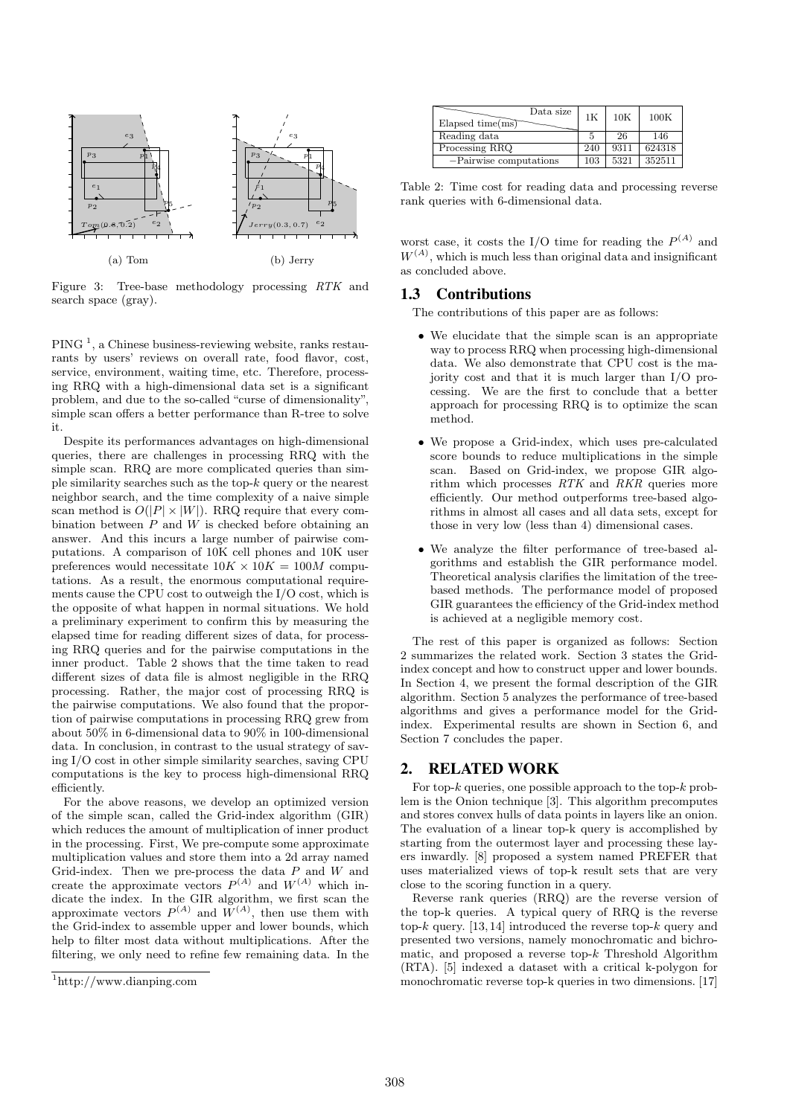

Figure 3: Tree-base methodology processing RTK and search space (gray).

 $PING<sup>1</sup>$ , a Chinese business-reviewing website, ranks restaurants by users' reviews on overall rate, food flavor, cost, service, environment, waiting time, etc. Therefore, processing RRQ with a high-dimensional data set is a significant problem, and due to the so-called "curse of dimensionality", simple scan offers a better performance than R-tree to solve it.

Despite its performances advantages on high-dimensional queries, there are challenges in processing RRQ with the simple scan. RRQ are more complicated queries than simple similarity searches such as the top- $k$  query or the nearest neighbor search, and the time complexity of a naive simple scan method is  $O(|P| \times |W|)$ . RRQ require that every combination between  $P$  and  $W$  is checked before obtaining an answer. And this incurs a large number of pairwise computations. A comparison of 10K cell phones and 10K user preferences would necessitate  $10K \times 10K = 100M$  computations. As a result, the enormous computational requirements cause the CPU cost to outweigh the I/O cost, which is the opposite of what happen in normal situations. We hold a preliminary experiment to confirm this by measuring the elapsed time for reading different sizes of data, for processing RRQ queries and for the pairwise computations in the inner product. Table 2 shows that the time taken to read different sizes of data file is almost negligible in the RRQ processing. Rather, the major cost of processing RRQ is the pairwise computations. We also found that the proportion of pairwise computations in processing RRQ grew from about 50% in 6-dimensional data to 90% in 100-dimensional data. In conclusion, in contrast to the usual strategy of saving I/O cost in other simple similarity searches, saving CPU computations is the key to process high-dimensional RRQ efficiently.

For the above reasons, we develop an optimized version of the simple scan, called the Grid-index algorithm (GIR) which reduces the amount of multiplication of inner product in the processing. First, We pre-compute some approximate multiplication values and store them into a 2d array named Grid-index. Then we pre-process the data  $P$  and  $W$  and create the approximate vectors  $P^{(A)}$  and  $W^{(A)}$  which indicate the index. In the GIR algorithm, we first scan the approximate vectors  $P^{(A)}$  and  $W^{(A)}$ , then use them with the Grid-index to assemble upper and lower bounds, which help to filter most data without multiplications. After the filtering, we only need to refine few remaining data. In the



| Data size<br>Elapsed time $(ms)$ | 1 <sub>K</sub> | 10K  | 100K   |
|----------------------------------|----------------|------|--------|
| Reading data                     |                | 26   | 146    |
| Processing RRQ                   | 240            | 9311 | 624318 |
| $-Pairwise computations$         | 103            | 5321 | 352511 |

Table 2: Time cost for reading data and processing reverse rank queries with 6-dimensional data.

worst case, it costs the I/O time for reading the  $P^{(A)}$  and  $W^{(A)}$ , which is much less than original data and insignificant as concluded above.

## 1.3 Contributions

The contributions of this paper are as follows:

- We elucidate that the simple scan is an appropriate way to process RRQ when processing high-dimensional data. We also demonstrate that CPU cost is the majority cost and that it is much larger than I/O processing. We are the first to conclude that a better approach for processing RRQ is to optimize the scan method.
- We propose a Grid-index, which uses pre-calculated score bounds to reduce multiplications in the simple scan. Based on Grid-index, we propose GIR algorithm which processes RTK and RKR queries more efficiently. Our method outperforms tree-based algorithms in almost all cases and all data sets, except for those in very low (less than 4) dimensional cases.
- We analyze the filter performance of tree-based algorithms and establish the GIR performance model. Theoretical analysis clarifies the limitation of the treebased methods. The performance model of proposed GIR guarantees the efficiency of the Grid-index method is achieved at a negligible memory cost.

The rest of this paper is organized as follows: Section 2 summarizes the related work. Section 3 states the Gridindex concept and how to construct upper and lower bounds. In Section 4, we present the formal description of the GIR algorithm. Section 5 analyzes the performance of tree-based algorithms and gives a performance model for the Gridindex. Experimental results are shown in Section 6, and Section 7 concludes the paper.

## 2. RELATED WORK

For top- $k$  queries, one possible approach to the top- $k$  problem is the Onion technique [3]. This algorithm precomputes and stores convex hulls of data points in layers like an onion. The evaluation of a linear top-k query is accomplished by starting from the outermost layer and processing these layers inwardly. [8] proposed a system named PREFER that uses materialized views of top-k result sets that are very close to the scoring function in a query.

Reverse rank queries (RRQ) are the reverse version of the top-k queries. A typical query of RRQ is the reverse top-k query. [13, 14] introduced the reverse top-k query and presented two versions, namely monochromatic and bichromatic, and proposed a reverse top- $k$  Threshold Algorithm (RTA). [5] indexed a dataset with a critical k-polygon for monochromatic reverse top-k queries in two dimensions. [17]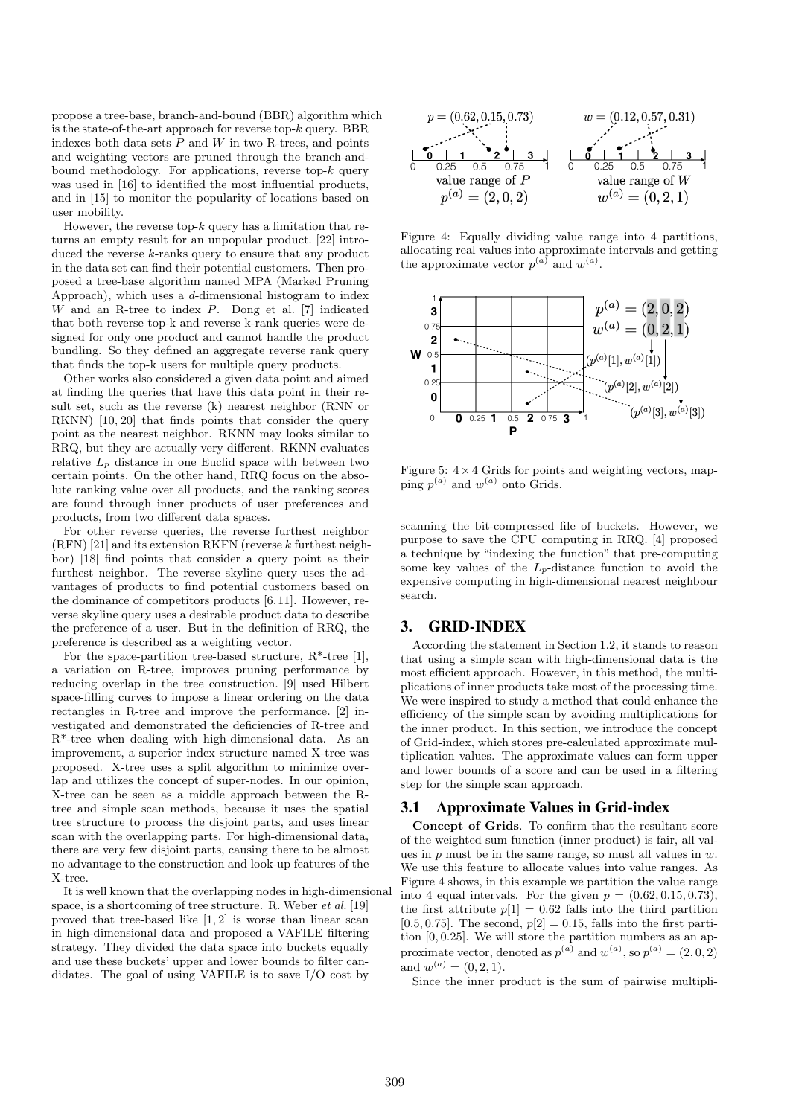propose a tree-base, branch-and-bound (BBR) algorithm which is the state-of-the-art approach for reverse top- $k$  query. BBR indexes both data sets  $P$  and  $W$  in two R-trees, and points and weighting vectors are pruned through the branch-andbound methodology. For applications, reverse top- $k$  query was used in [16] to identified the most influential products, and in [15] to monitor the popularity of locations based on user mobility.

However, the reverse top- $k$  query has a limitation that returns an empty result for an unpopular product. [22] introduced the reverse  $k$ -ranks query to ensure that any product in the data set can find their potential customers. Then proposed a tree-base algorithm named MPA (Marked Pruning Approach), which uses a d-dimensional histogram to index W and an R-tree to index P. Dong et al. [7] indicated that both reverse top-k and reverse k-rank queries were designed for only one product and cannot handle the product bundling. So they defined an aggregate reverse rank query that finds the top-k users for multiple query products.

Other works also considered a given data point and aimed at finding the queries that have this data point in their result set, such as the reverse (k) nearest neighbor (RNN or RKNN) [10, 20] that finds points that consider the query point as the nearest neighbor. RKNN may looks similar to RRQ, but they are actually very different. RKNN evaluates relative  $L_p$  distance in one Euclid space with between two certain points. On the other hand, RRQ focus on the absolute ranking value over all products, and the ranking scores are found through inner products of user preferences and products, from two different data spaces.

For other reverse queries, the reverse furthest neighbor  $(RFN)$  [21] and its extension RKFN (reverse k furthest neighbor) [18] find points that consider a query point as their furthest neighbor. The reverse skyline query uses the advantages of products to find potential customers based on the dominance of competitors products [6, 11]. However, reverse skyline query uses a desirable product data to describe the preference of a user. But in the definition of RRQ, the preference is described as a weighting vector.

For the space-partition tree-based structure, R\*-tree [1], a variation on R-tree, improves pruning performance by reducing overlap in the tree construction. [9] used Hilbert space-filling curves to impose a linear ordering on the data rectangles in R-tree and improve the performance. [2] investigated and demonstrated the deficiencies of R-tree and R\*-tree when dealing with high-dimensional data. As an improvement, a superior index structure named X-tree was proposed. X-tree uses a split algorithm to minimize overlap and utilizes the concept of super-nodes. In our opinion, X-tree can be seen as a middle approach between the Rtree and simple scan methods, because it uses the spatial tree structure to process the disjoint parts, and uses linear scan with the overlapping parts. For high-dimensional data, there are very few disjoint parts, causing there to be almost no advantage to the construction and look-up features of the X-tree.

It is well known that the overlapping nodes in high-dimensional space, is a shortcoming of tree structure. R. Weber et al. [19] proved that tree-based like [1, 2] is worse than linear scan in high-dimensional data and proposed a VAFILE filtering strategy. They divided the data space into buckets equally and use these buckets' upper and lower bounds to filter candidates. The goal of using VAFILE is to save I/O cost by

$$
p = (0.62, 0.15, 0.73)
$$
  
\n
$$
w = (0.12, 0.57, 0.31)
$$
  
\n
$$
\underbrace{\begin{array}{c|c|c|c|c|c|c|c|c} \mathbf{0} & 1 & \mathbf{0} & \mathbf{0} & \mathbf{0} & \mathbf{0} & \mathbf{0} & \mathbf{0} & \mathbf{0} & \mathbf{0} & \mathbf{0} & \mathbf{0} & \mathbf{0} & \mathbf{0} & \mathbf{0} & \mathbf{0} & \mathbf{0} & \mathbf{0} & \mathbf{0} & \mathbf{0} & \mathbf{0} & \mathbf{0} & \mathbf{0} & \mathbf{0} & \mathbf{0} & \mathbf{0} & \mathbf{0} & \mathbf{0} & \mathbf{0} & \mathbf{0} & \mathbf{0} & \mathbf{0} & \mathbf{0} & \mathbf{0} & \mathbf{0} & \mathbf{0} & \mathbf{0} & \mathbf{0} & \mathbf{0} & \mathbf{0} & \mathbf{0} & \mathbf{0} & \mathbf{0} & \mathbf{0} & \mathbf{0} & \mathbf{0} & \mathbf{0} & \mathbf{0} & \mathbf{0} & \mathbf{0} & \mathbf{0} & \mathbf{0} & \mathbf{0} & \mathbf{0} & \mathbf{0} & \mathbf{0} & \mathbf{0} & \mathbf{0} & \mathbf{0} & \mathbf{0} & \mathbf{0} & \mathbf{0} & \mathbf{0} & \mathbf{0} & \mathbf{0} & \mathbf{0} & \mathbf{0} & \mathbf{0} & \mathbf{0} & \mathbf{0} & \mathbf{0} & \mathbf{0} & \mathbf{0} & \mathbf{0} & \mathbf{0} & \mathbf{0} & \mathbf{0} & \mathbf{0} & \mathbf{0} & \mathbf{0} & \mathbf{0} & \mathbf{0} & \mathbf{0} & \mathbf{0} & \mathbf{0} & \mathbf{0} & \mathbf{0} & \mathbf{0} & \mathbf{0} & \mathbf{0} & \mathbf{0} & \mathbf{0} & \mathbf{0} & \mathbf{0} & \mathbf{0} & \mathbf{0} & \mathbf{
$$

Figure 4: Equally dividing value range into 4 partitions, allocating real values into approximate intervals and getting the approximate vector  $p^{(a)}$  and  $w^{(a)}$ .



Figure 5:  $4 \times 4$  Grids for points and weighting vectors, mapping  $p^{(a)}$  and  $w^{(a)}$  onto Grids.

scanning the bit-compressed file of buckets. However, we purpose to save the CPU computing in RRQ. [4] proposed a technique by "indexing the function" that pre-computing some key values of the  $L_p$ -distance function to avoid the expensive computing in high-dimensional nearest neighbour search.

## 3. GRID-INDEX

According the statement in Section 1.2, it stands to reason that using a simple scan with high-dimensional data is the most efficient approach. However, in this method, the multiplications of inner products take most of the processing time. We were inspired to study a method that could enhance the efficiency of the simple scan by avoiding multiplications for the inner product. In this section, we introduce the concept of Grid-index, which stores pre-calculated approximate multiplication values. The approximate values can form upper and lower bounds of a score and can be used in a filtering step for the simple scan approach.

## 3.1 Approximate Values in Grid-index

Concept of Grids. To confirm that the resultant score of the weighted sum function (inner product) is fair, all values in  $p$  must be in the same range, so must all values in  $w$ . We use this feature to allocate values into value ranges. As Figure 4 shows, in this example we partition the value range into 4 equal intervals. For the given  $p = (0.62, 0.15, 0.73)$ , the first attribute  $p[1] = 0.62$  falls into the third partition [0.5, 0.75]. The second,  $p[2] = 0.15$ , falls into the first partition [0, 0.25]. We will store the partition numbers as an approximate vector, denoted as  $p^{(a)}$  and  $w^{(a)}$ , so  $p^{(a)} = (2,0,2)$ and  $w^{(a)} = (0, 2, 1)$ .

Since the inner product is the sum of pairwise multipli-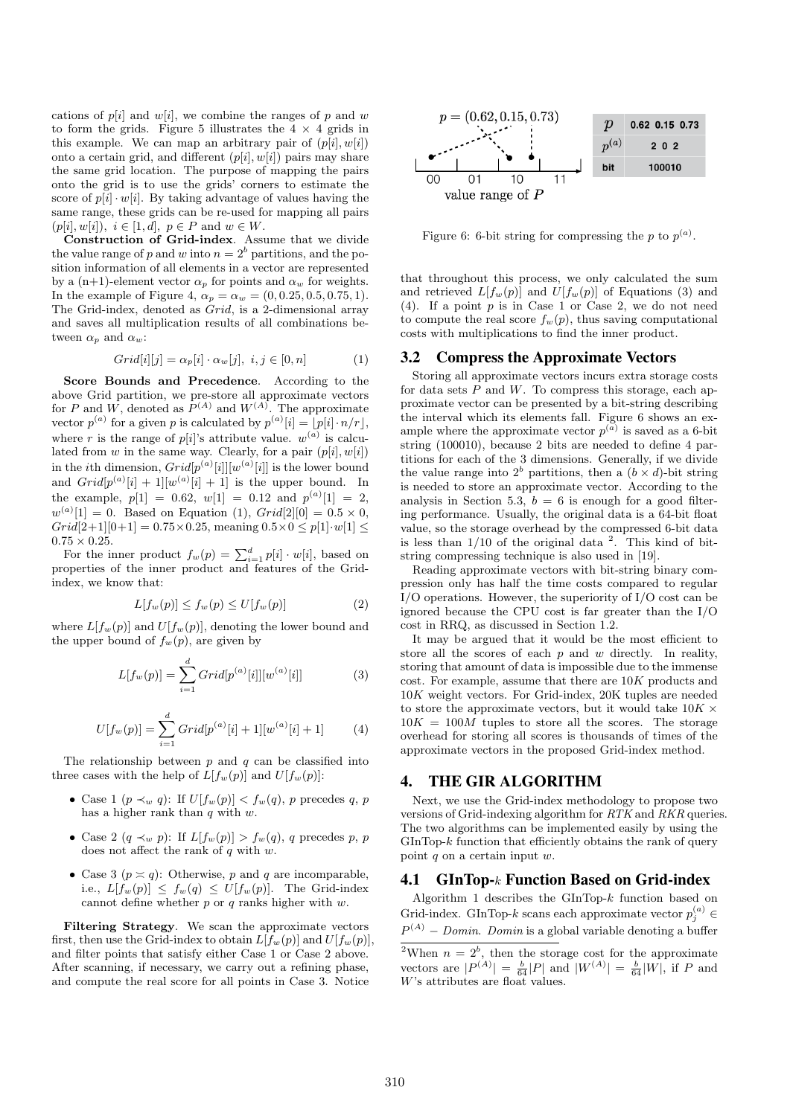cations of  $p[i]$  and  $w[i]$ , we combine the ranges of p and w to form the grids. Figure 5 illustrates the  $4 \times 4$  grids in this example. We can map an arbitrary pair of  $(p[i], w[i])$ onto a certain grid, and different  $(p[i], w[i])$  pairs may share the same grid location. The purpose of mapping the pairs onto the grid is to use the grids' corners to estimate the score of  $p[i] \cdot w[i]$ . By taking advantage of values having the same range, these grids can be re-used for mapping all pairs  $(p[i], w[i]), i \in [1, d], p \in P \text{ and } w \in W.$ 

Construction of Grid-index. Assume that we divide the value range of p and w into  $n = 2<sup>b</sup>$  partitions, and the position information of all elements in a vector are represented by a (n+1)-element vector  $\alpha_p$  for points and  $\alpha_w$  for weights. In the example of Figure 4,  $\alpha_p = \alpha_w = (0, 0.25, 0.5, 0.75, 1)$ . The Grid-index, denoted as Grid, is a 2-dimensional array and saves all multiplication results of all combinations between  $\alpha_p$  and  $\alpha_w$ :

$$
Grid[i][j] = \alpha_p[i] \cdot \alpha_w[j], \ i, j \in [0, n]
$$
\n
$$
(1)
$$

Score Bounds and Precedence. According to the above Grid partition, we pre-store all approximate vectors for P and W, denoted as  $P^{(A)}$  and  $W^{(A)}$ . The approximate vector  $p^{(a)}$  for a given p is calculated by  $p^{(a)}[i] = |p[i] \cdot n/r$ , where r is the range of  $p[i]$ 's attribute value.  $w^{(a)}$  is calculated from w in the same way. Clearly, for a pair  $(p[i], w[i])$ in the *i*th dimension,  $Grid[p^{(a)}[i]][w^{(a)}[i]]$  is the lower bound and  $Grid[p^{(a)}[i]+1][w^{(a)}[i]+1]$  is the upper bound. In the example,  $p[1] = 0.62, w[1] = 0.12$  and  $p^{(a)}[1] = 2$ ,  $w^{(a)}[1] = 0$ . Based on Equation (1),  $Grid[2][0] = 0.5 \times 0$ ,  $Grid[2+1][0+1]=0.75\times0.25$ , meaning  $0.5\times0\leq p[1]\cdot w[1]\leq$  $0.75 \times 0.25$ .

For the inner product  $f_w(p) = \sum_{i=1}^d p[i] \cdot w[i]$ , based on properties of the inner product and features of the Gridindex, we know that:

$$
L[f_w(p)] \le f_w(p) \le U[f_w(p)] \tag{2}
$$

where  $L[f_w(p)]$  and  $U[f_w(p)]$ , denoting the lower bound and the upper bound of  $f_w(p)$ , are given by

$$
L[f_w(p)] = \sum_{i=1}^{d} Grid[p^{(a)}[i]][w^{(a)}[i]]
$$
 (3)

$$
U[f_w(p)] = \sum_{i=1}^{d} Grid[p^{(a)}[i] + 1][w^{(a)}[i] + 1] \tag{4}
$$

The relationship between  $p$  and  $q$  can be classified into three cases with the help of  $L[f_w(p)]$  and  $U[f_w(p)]$ :

- Case 1  $(p \prec_w q)$ : If  $U[f_w(p)] < f_w(q)$ , p precedes q, p has a higher rank than  $q$  with  $w$ .
- Case 2  $(q \prec_w p)$ : If  $L[f_w(p)] > f_w(q)$ , q precedes p, p does not affect the rank of  $q$  with  $w$ .
- Case 3  $(p \asymp q)$ : Otherwise, p and q are incomparable, i.e.,  $L[f_w(p)] \leq f_w(q) \leq U[f_w(p)]$ . The Grid-index cannot define whether  $p$  or  $q$  ranks higher with  $w$ .

Filtering Strategy. We scan the approximate vectors first, then use the Grid-index to obtain  $L[f_w(p)]$  and  $U[f_w(p)]$ , and filter points that satisfy either Case 1 or Case 2 above. After scanning, if necessary, we carry out a refining phase, and compute the real score for all points in Case 3. Notice



Figure 6: 6-bit string for compressing the p to  $p^{(a)}$ .

that throughout this process, we only calculated the sum and retrieved  $L[f_w(p)]$  and  $U[f_w(p)]$  of Equations (3) and (4). If a point  $p$  is in Case 1 or Case 2, we do not need to compute the real score  $f_w(p)$ , thus saving computational costs with multiplications to find the inner product.

#### 3.2 Compress the Approximate Vectors

Storing all approximate vectors incurs extra storage costs for data sets  $P$  and  $W$ . To compress this storage, each approximate vector can be presented by a bit-string describing the interval which its elements fall. Figure 6 shows an example where the approximate vector  $p^{(a)}$  is saved as a 6-bit string (100010), because 2 bits are needed to define 4 partitions for each of the 3 dimensions. Generally, if we divide the value range into  $2^b$  partitions, then a  $(b \times d)$ -bit string is needed to store an approximate vector. According to the analysis in Section 5.3,  $b = 6$  is enough for a good filtering performance. Usually, the original data is a 64-bit float value, so the storage overhead by the compressed 6-bit data is less than  $1/10$  of the original data  $2$ . This kind of bitstring compressing technique is also used in [19].

Reading approximate vectors with bit-string binary compression only has half the time costs compared to regular I/O operations. However, the superiority of I/O cost can be ignored because the CPU cost is far greater than the I/O cost in RRQ, as discussed in Section 1.2.

It may be argued that it would be the most efficient to store all the scores of each  $p$  and  $w$  directly. In reality, storing that amount of data is impossible due to the immense  $\cot$ . For example, assume that there are  $10K$  products and 10K weight vectors. For Grid-index, 20K tuples are needed to store the approximate vectors, but it would take  $10K \times$  $10K = 100M$  tuples to store all the scores. The storage overhead for storing all scores is thousands of times of the approximate vectors in the proposed Grid-index method.

## 4. THE GIR ALGORITHM

Next, we use the Grid-index methodology to propose two versions of Grid-indexing algorithm for RTK and RKR queries. The two algorithms can be implemented easily by using the  $GInTop-k$  function that efficiently obtains the rank of query point  $q$  on a certain input  $w$ .

#### 4.1 GInTop-k Function Based on Grid-index

Algorithm 1 describes the  $GInTop-k$  function based on Grid-index. GInTop-k scans each approximate vector  $p_j^{(a)} \in$  $P^{(A)}$  – Domin. Domin is a global variable denoting a buffer

<sup>2</sup>When  $n = 2<sup>b</sup>$ , then the storage cost for the approximate vectors are  $|P^{(A)}| = \frac{b}{64}|P|$  and  $|W^{(A)}| = \frac{b}{64}|W|$ , if P and W's attributes are float values.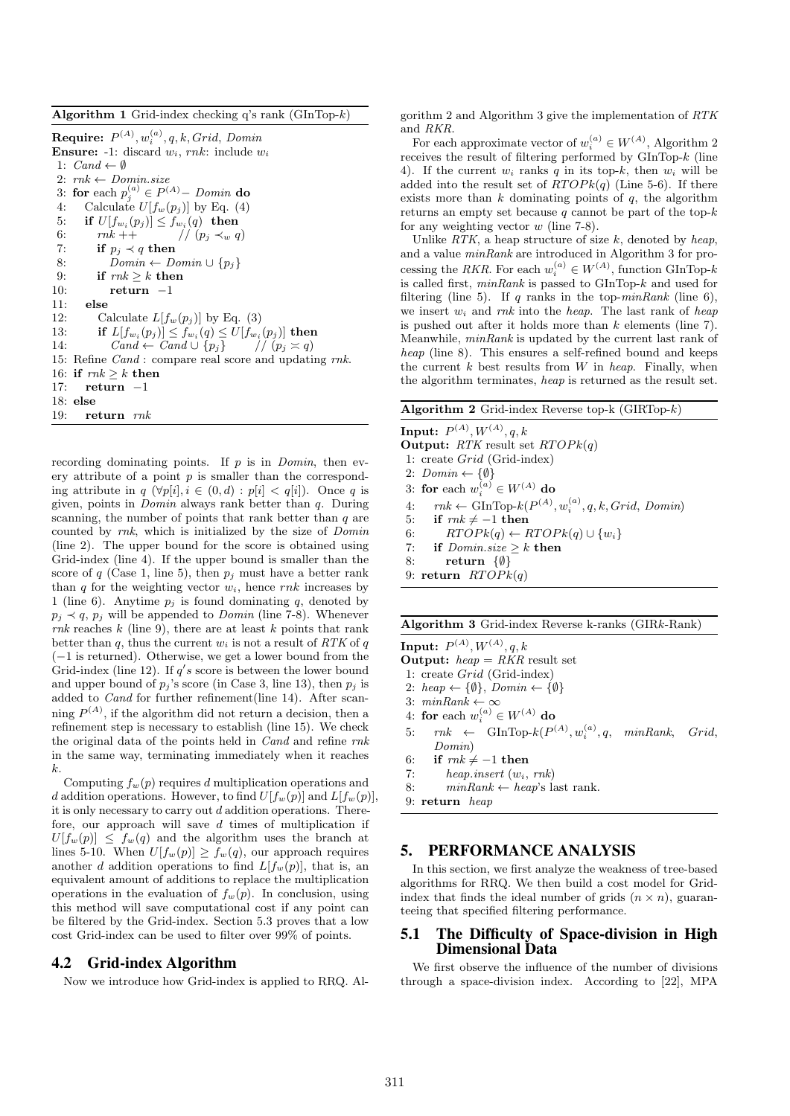Algorithm 1 Grid-index checking q's rank  $(GInTop-k)$ 

Require:  $P^{(A)}, w_i^{(a)}, q, k, Grid,$  Domin **Ensure:** -1: discard  $w_i$ , rnk: include  $w_i$ 1:  $Cand \leftarrow \emptyset$ 2:  $rnk \leftarrow Domin.size$ 3: for each  $p_j^{(a)} \in P^{(A)}$  – Domin do 4: Calculate  $U[f_w(p_j)]$  by Eq. (4) 5: if  $U[f_{w_i}(p_j)] \leq f_{w_i}(q)$  then 6:  $rnk$  +  $\frac{1}{p}$   $\frac{1}{p}$   $\frac{1}{q}$   $\frac{1}{q}$ 7: if  $p_i \prec q$  then 8:  $\overline{Domain} \leftarrow Domin \cup \{p_j\}$ <br>9: if  $mk > k$  then if  $mk \geq k$  then 10: return −1 11: else 12: Calculate  $L[f_w(p_j)]$  by Eq. (3) 13: if  $L[f_{w_i}(p_j)] \le f_{w_i}(q) \le U[f_{w_i}(p_j)]$  then 14:  $Cand \leftarrow Cand \cup \{p_j\}$  //  $(p_j \asymp q)$ 15: Refine Cand : compare real score and updating rnk. 16: if  $mk \geq k$  then 17: return −1 18: else 19: return rnk

recording dominating points. If  $p$  is in *Domin*, then every attribute of a point  $p$  is smaller than the corresponding attribute in  $q \ (\forall p[i], i \in (0, d) : p[i] < q[i])$ . Once q is given, points in Domin always rank better than q. During scanning, the number of points that rank better than  $q$  are counted by rnk, which is initialized by the size of Domin (line 2). The upper bound for the score is obtained using Grid-index (line 4). If the upper bound is smaller than the score of q (Case 1, line 5), then  $p_i$  must have a better rank than q for the weighting vector  $w_i$ , hence rnk increases by 1 (line 6). Anytime  $p_i$  is found dominating q, denoted by  $p_j \prec q$ ,  $p_j$  will be appended to *Domin* (line 7-8). Whenever rnk reaches  $k$  (line 9), there are at least  $k$  points that rank better than q, thus the current  $w_i$  is not a result of  $RTK$  of q (−1 is returned). Otherwise, we get a lower bound from the Grid-index (line 12). If  $q's$  score is between the lower bound and upper bound of  $p_j$ 's score (in Case 3, line 13), then  $p_j$  is added to Cand for further refinement(line 14). After scanning  $P^{(A)}$ , if the algorithm did not return a decision, then a refinement step is necessary to establish (line 15). We check the original data of the points held in Cand and refine rnk in the same way, terminating immediately when it reaches k.

Computing  $f_w(p)$  requires d multiplication operations and d addition operations. However, to find  $U[f_w(p)]$  and  $L[f_w(p)]$ . it is only necessary to carry out  $d$  addition operations. Therefore, our approach will save  $d$  times of multiplication if  $U[f_w(p)] \leq f_w(q)$  and the algorithm uses the branch at lines 5-10. When  $U[f_w(p)] > f_w(q)$ , our approach requires another d addition operations to find  $L[f_w(p)]$ , that is, an equivalent amount of additions to replace the multiplication operations in the evaluation of  $f_w(p)$ . In conclusion, using this method will save computational cost if any point can be filtered by the Grid-index. Section 5.3 proves that a low cost Grid-index can be used to filter over 99% of points.

## 4.2 Grid-index Algorithm

Now we introduce how Grid-index is applied to RRQ. Al-

gorithm 2 and Algorithm 3 give the implementation of RTK and RKR.

For each approximate vector of  $w_i^{(a)} \in W^{(A)}$ , Algorithm 2 receives the result of filtering performed by GInTop-k (line 4). If the current  $w_i$  ranks q in its top-k, then  $w_i$  will be added into the result set of  $RTOPk(q)$  (Line 5-6). If there exists more than  $k$  dominating points of  $q$ , the algorithm returns an empty set because  $q$  cannot be part of the top- $k$ for any weighting vector  $w$  (line 7-8).

Unlike  $RTK$ , a heap structure of size k, denoted by heap, and a value minRank are introduced in Algorithm 3 for processing the RKR. For each  $w_i^{(a)} \in W^{(A)}$ , function GInTop-k is called first,  $minRank$  is passed to  $GInTop-k$  and used for filtering (line 5). If q ranks in the top- $minRank$  (line 6), we insert  $w_i$  and rnk into the heap. The last rank of heap is pushed out after it holds more than  $k$  elements (line 7). Meanwhile, minRank is updated by the current last rank of heap (line 8). This ensures a self-refined bound and keeps the current  $k$  best results from  $W$  in heap. Finally, when the algorithm terminates, heap is returned as the result set.

| Algorithm 2 Grid-index Reverse top- $k$ (GIRTop- $k$ ) |  |  |  |
|--------------------------------------------------------|--|--|--|
|                                                        |  |  |  |

**Input:**  $P^{(A)}, W^{(A)}, q, k$ **Output:** RTK result set  $RTOPk(q)$ 1: create Grid (Grid-index) 2:  $Domain \leftarrow \{\emptyset\}$ 3: for each  $w_i^{(a)} \in W^{(A)}$  do 4:  $rnk \leftarrow \text{GInTop-}k(P^{(A)}, w_i^{(a)}, q, k, Grid, Domain)$ 5: if  $mk \neq -1$  then 6:  $RTOPk(q) \leftarrow RTOPk(q) \cup \{w_i\}$ 7: if  $Domain.size \geq k$  then 8: return {∅} 9: return  $RTOPk(q)$ 

#### Algorithm 3 Grid-index Reverse k-ranks (GIRk-Rank)

**Input:**  $P^{(A)}, W^{(A)}, q, k$ **Output:**  $heap = RKR$  result set 1: create Grid (Grid-index) 2: heap  $\leftarrow \{\emptyset\},$  Domin  $\leftarrow \{\emptyset\}$ 3:  $minRank \leftarrow \infty$ 4: for each  $w_i^{(a)} \in W^{(A)}$  do 5:  $mk \leftarrow \text{GInTop-}k(P^{(A)}, w_i^{(a)}, q, \text{ minRank}, \text{ Grid},$ Domin) 6: if  $rnk \neq -1$  then 7: heap.insert  $(w_i, \, rnk)$ 8:  $minRank \leftarrow heap$ 's last rank. 9: return heap

## 5. PERFORMANCE ANALYSIS

In this section, we first analyze the weakness of tree-based algorithms for RRQ. We then build a cost model for Gridindex that finds the ideal number of grids  $(n \times n)$ , guaranteeing that specified filtering performance.

## 5.1 The Difficulty of Space-division in High Dimensional Data

We first observe the influence of the number of divisions through a space-division index. According to [22], MPA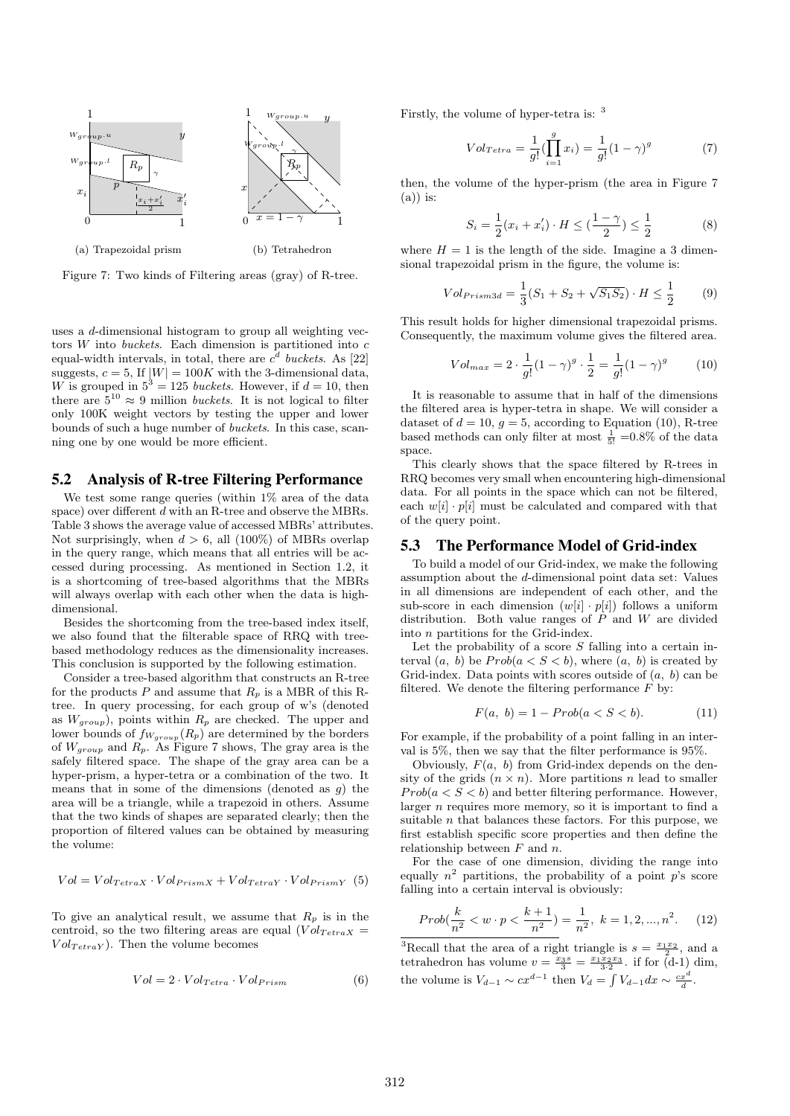

Figure 7: Two kinds of Filtering areas (gray) of R-tree.

uses a d-dimensional histogram to group all weighting vectors  $W$  into buckets. Each dimension is partitioned into  $c$ equal-width intervals, in total, there are  $c<sup>d</sup>$  buckets. As [22] suggests,  $c = 5$ , If  $|W| = 100K$  with the 3-dimensional data, W is grouped in  $5^3 = 125$  buckets. However, if  $d = 10$ , then there are  $5^{10} \approx 9$  million *buckets*. It is not logical to filter only 100K weight vectors by testing the upper and lower bounds of such a huge number of buckets. In this case, scanning one by one would be more efficient.

# 5.2 Analysis of R-tree Filtering Performance

We test some range queries (within 1% area of the data space) over different d with an R-tree and observe the MBRs. Table 3 shows the average value of accessed MBRs' attributes. Not surprisingly, when  $d > 6$ , all (100%) of MBRs overlap in the query range, which means that all entries will be accessed during processing. As mentioned in Section 1.2, it is a shortcoming of tree-based algorithms that the MBRs will always overlap with each other when the data is highdimensional.

Besides the shortcoming from the tree-based index itself, we also found that the filterable space of RRQ with treebased methodology reduces as the dimensionality increases. This conclusion is supported by the following estimation.

Consider a tree-based algorithm that constructs an R-tree for the products P and assume that  $R_p$  is a MBR of this Rtree. In query processing, for each group of w's (denoted as  $W_{group}$ , points within  $R_p$  are checked. The upper and lower bounds of  $f_{W_{group}}(R_p)$  are determined by the borders of  $W_{group}$  and  $R_p$ . As Figure 7 shows, The gray area is the safely filtered space. The shape of the gray area can be a hyper-prism, a hyper-tetra or a combination of the two. It means that in some of the dimensions (denoted as  $q$ ) the area will be a triangle, while a trapezoid in others. Assume that the two kinds of shapes are separated clearly; then the proportion of filtered values can be obtained by measuring the volume:

$$
Vol = Vol_{TetraX} \cdot Vol_{PrismX} + Vol_{TetraY} \cdot Vol_{PrismY} \quad (5)
$$

To give an analytical result, we assume that  $R_p$  is in the centroid, so the two filtering areas are equal  $(Vol_{Tetrax} =$  $Vol_{TetraY}$ ). Then the volume becomes

$$
Vol = 2 \cdot Vol_{Tetra} \cdot Vol_{Prism}
$$
 (6)

Firstly, the volume of hyper-tetra is: <sup>3</sup>

$$
Vol_{Tetra} = \frac{1}{g!} (\prod_{i=1}^{g} x_i) = \frac{1}{g!} (1 - \gamma)^g
$$
 (7)

then, the volume of the hyper-prism (the area in Figure 7  $(a)$ ) is:

$$
S_i = \frac{1}{2}(x_i + x'_i) \cdot H \le (\frac{1 - \gamma}{2}) \le \frac{1}{2}
$$
 (8)

where  $H = 1$  is the length of the side. Imagine a 3 dimensional trapezoidal prism in the figure, the volume is:

$$
Vol_{Prism3d} = \frac{1}{3}(S_1 + S_2 + \sqrt{S_1 S_2}) \cdot H \le \frac{1}{2}
$$
 (9)

This result holds for higher dimensional trapezoidal prisms. Consequently, the maximum volume gives the filtered area.

$$
Vol_{max} = 2 \cdot \frac{1}{g!} (1 - \gamma)^g \cdot \frac{1}{2} = \frac{1}{g!} (1 - \gamma)^g \tag{10}
$$

It is reasonable to assume that in half of the dimensions the filtered area is hyper-tetra in shape. We will consider a dataset of  $d = 10$ ,  $g = 5$ , according to Equation (10), R-tree based methods can only filter at most  $\frac{1}{5!}$  =0.8% of the data space.

This clearly shows that the space filtered by R-trees in RRQ becomes very small when encountering high-dimensional data. For all points in the space which can not be filtered, each  $w[i] \cdot p[i]$  must be calculated and compared with that of the query point.

#### 5.3 The Performance Model of Grid-index

To build a model of our Grid-index, we make the following assumption about the d-dimensional point data set: Values in all dimensions are independent of each other, and the sub-score in each dimension  $(w[i] \cdot p[i])$  follows a uniform distribution. Both value ranges of  $P$  and  $W$  are divided into n partitions for the Grid-index.

Let the probability of a score  $S$  falling into a certain interval  $(a, b)$  be  $Prob(a < S < b)$ , where  $(a, b)$  is created by Grid-index. Data points with scores outside of  $(a, b)$  can be filtered. We denote the filtering performance  $\overline{F}$  by:

$$
F(a, b) = 1 - Prob(a < S < b). \tag{11}
$$

For example, if the probability of a point falling in an interval is 5%, then we say that the filter performance is 95%.

Obviously,  $F(a, b)$  from Grid-index depends on the density of the grids  $(n \times n)$ . More partitions n lead to smaller  $Prob(a < S < b)$  and better filtering performance. However, larger  $n$  requires more memory, so it is important to find a suitable  $n$  that balances these factors. For this purpose, we first establish specific score properties and then define the relationship between  $F$  and  $n$ .

For the case of one dimension, dividing the range into equally  $n^2$  partitions, the probability of a point p's score falling into a certain interval is obviously:

$$
Prob(\frac{k}{n^2} < w \cdot p < \frac{k+1}{n^2}) = \frac{1}{n^2}, \ k = 1, 2, \dots, n^2. \tag{12}
$$

<sup>3</sup>Recall that the area of a right triangle is  $s = \frac{x_1 x_2}{2}$ , and a tetrahedron has volume  $v = \frac{x_3 s}{3} = \frac{x_1 x_2 x_3}{3 \cdot 2}$ . if for  $(d-1)$  dim, the volume is  $V_{d-1} \sim cx^{d-1}$  then  $V_d = \int V_{d-1}dx \sim \frac{cx^d}{d}$ .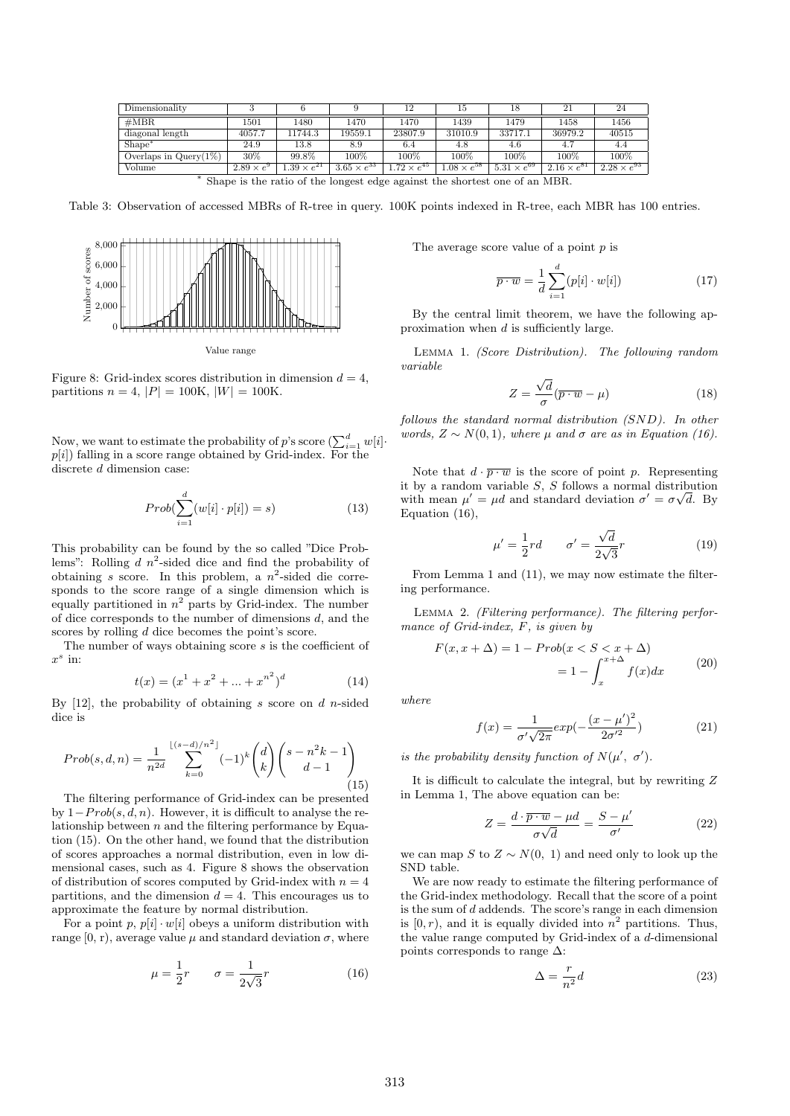| Dimensionality           |                     |                     |                      |                     | ТÞ                  |                      |                      | 24                   |
|--------------------------|---------------------|---------------------|----------------------|---------------------|---------------------|----------------------|----------------------|----------------------|
| #MBR                     | 1501                | 1480                | 1470                 | 1470                | 1439                | 1479                 | 1458                 | 1456                 |
| diagonal length          | 4057.7              | 11744.3             | 19559.1              | 23807.9             | 31010.9             | 33717.1              | 36979.2              | 40515                |
| Shape <sup>*</sup>       | 24.9                | $^{13.8}$           | 8.9                  | 6.4                 | 4.8                 | 4.6                  | 4.7                  | 4.4                  |
| Overlaps in $Query(1\%)$ | 30%                 | 99.8%               | 100%                 | 100%                | 100%                | 100%                 | 100%                 | 100%                 |
| Volume                   | $2.89 \times e^{9}$ | $.39 \times e^{21}$ | $3.65 \times e^{33}$ | $.72 \times e^{45}$ | $.08 \times e^{58}$ | $5.31 \times e^{69}$ | $2.16 \times e^{81}$ | $2.28 \times e^{93}$ |

∗ Shape is the ratio of the longest edge against the shortest one of an MBR.

Table 3: Observation of accessed MBRs of R-tree in query. 100K points indexed in R-tree, each MBR has 100 entries.



Figure 8: Grid-index scores distribution in dimension  $d = 4$ , partitions  $n = 4$ ,  $|P| = 100$ K,  $|W| = 100$ K.

Now, we want to estimate the probability of p's score  $(\sum_{i=1}^d w[i])$  $p[i]$ ) falling in a score range obtained by Grid-index. For the discrete d dimension case:

$$
Prob(\sum_{i=1}^{d} (w[i] \cdot p[i]) = s)
$$
\n(13)

This probability can be found by the so called "Dice Problems": Rolling  $d$   $n^2$ -sided dice and find the probability of obtaining s score. In this problem, a  $n^2$ -sided die corresponds to the score range of a single dimension which is equally partitioned in  $n^2$  parts by Grid-index. The number of dice corresponds to the number of dimensions  $d$ , and the scores by rolling d dice becomes the point's score.

The number of ways obtaining score s is the coefficient of  $x^s$  in:

$$
t(x) = (x1 + x2 + ... + xn2)d
$$
 (14)

By  $[12]$ , the probability of obtaining s score on d n-sided dice is

$$
Prob(s, d, n) = \frac{1}{n^{2d}} \sum_{k=0}^{\lfloor (s-d)/n^2 \rfloor} (-1)^k {d \choose k} {s - n^2k - 1 \choose d - 1}
$$
(15)

The filtering performance of Grid-index can be presented by  $1-Prob(s, d, n)$ . However, it is difficult to analyse the relationship between  $n$  and the filtering performance by Equation (15). On the other hand, we found that the distribution of scores approaches a normal distribution, even in low dimensional cases, such as 4. Figure 8 shows the observation of distribution of scores computed by Grid-index with  $n = 4$ partitions, and the dimension  $d = 4$ . This encourages us to approximate the feature by normal distribution.

For a point p,  $p[i] \cdot w[i]$  obeys a uniform distribution with range  $[0, r)$ , average value  $\mu$  and standard deviation  $\sigma$ , where

$$
\mu = \frac{1}{2}r \qquad \sigma = \frac{1}{2\sqrt{3}}r \tag{16}
$$

The average score value of a point p is

$$
\overline{p \cdot w} = \frac{1}{d} \sum_{i=1}^{d} (p[i] \cdot w[i]) \tag{17}
$$

By the central limit theorem, we have the following approximation when  $d$  is sufficiently large.

Lemma 1. (Score Distribution). The following random variable

$$
Z = \frac{\sqrt{d}}{\sigma} (\overline{p \cdot w} - \mu)
$$
 (18)

follows the standard normal distribution (SND). In other words,  $Z \sim N(0, 1)$ , where  $\mu$  and  $\sigma$  are as in Equation (16).

Note that  $d \cdot \overline{p \cdot w}$  is the score of point p. Representing it by a random variable  $S$ ,  $S$  follows a normal distribution with mean  $\mu' = \mu d$  and standard deviation  $\sigma' = \sigma \sqrt{d}$ . By Equation (16),

$$
\mu' = \frac{1}{2}rd \qquad \sigma' = \frac{\sqrt{d}}{2\sqrt{3}}r \tag{19}
$$

From Lemma 1 and (11), we may now estimate the filtering performance.

Lemma 2. (Filtering performance). The filtering performance of Grid-index, F, is given by

$$
F(x, x + \Delta) = 1 - Prob(x < S < x + \Delta) \\
= 1 - \int_{x}^{x + \Delta} f(x) dx \tag{20}
$$

where

$$
f(x) = \frac{1}{\sigma' \sqrt{2\pi}} exp(-\frac{(x - \mu')^2}{2\sigma'^2})
$$
 (21)

is the probability density function of  $N(\mu', \sigma')$ .

It is difficult to calculate the integral, but by rewriting Z in Lemma 1, The above equation can be:

$$
Z = \frac{d \cdot \overline{p \cdot w} - \mu d}{\sigma \sqrt{d}} = \frac{S - \mu'}{\sigma'} \tag{22}
$$

we can map S to  $Z \sim N(0, 1)$  and need only to look up the SND table.

We are now ready to estimate the filtering performance of the Grid-index methodology. Recall that the score of a point is the sum of d addends. The score's range in each dimension is  $[0, r)$ , and it is equally divided into  $n^2$  partitions. Thus, the value range computed by Grid-index of a d-dimensional points corresponds to range  $\Delta$ :

$$
\Delta = \frac{r}{n^2}d\tag{23}
$$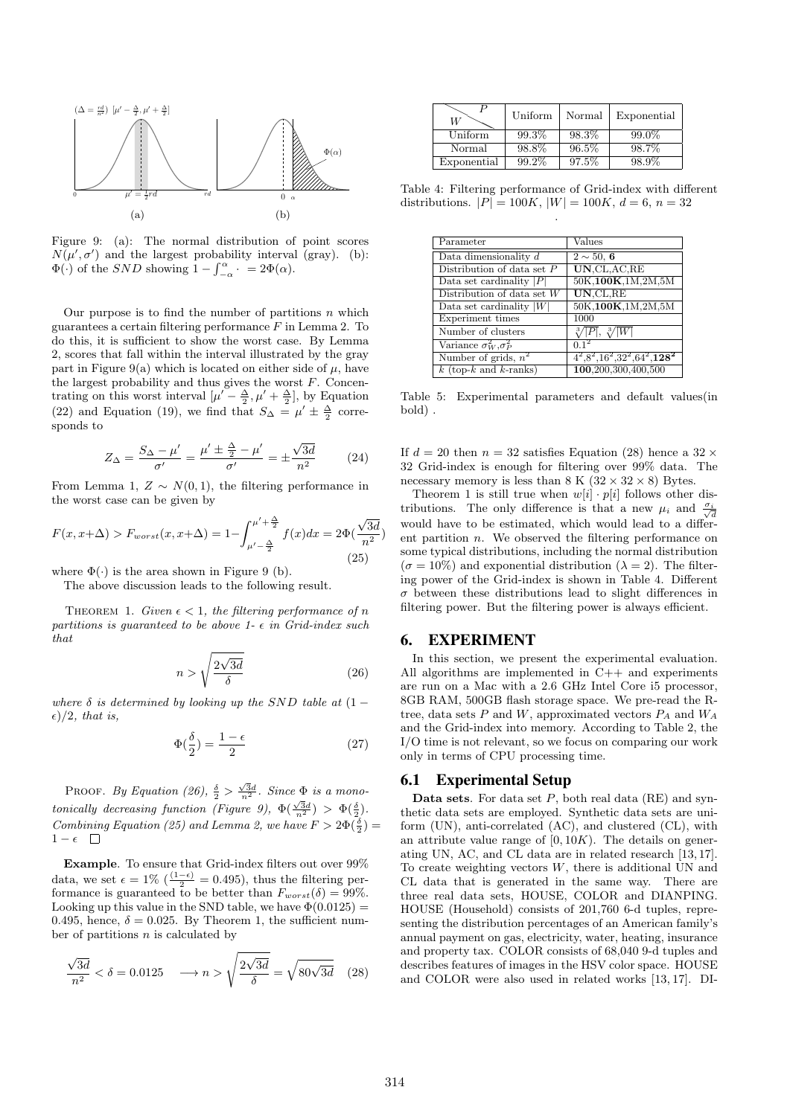

Figure 9: (a): The normal distribution of point scores  $N(\mu', \sigma')$  and the largest probability interval (gray). (b):  $\Phi(\cdot)$  of the *SND* showing  $1 - \int_{-\alpha}^{\alpha} \cdot \cdot \cdot = 2\Phi(\alpha)$ .

Our purpose is to find the number of partitions  $n$  which guarantees a certain filtering performance  $F$  in Lemma 2. To do this, it is sufficient to show the worst case. By Lemma 2, scores that fall within the interval illustrated by the gray part in Figure 9(a) which is located on either side of  $\mu$ , have the largest probability and thus gives the worst  $F$ . Concentrating on this worst interval  $[\mu' - \frac{\Delta}{2}, \mu' + \frac{\Delta}{2}]$ , by Equation (22) and Equation (19), we find that  $S_{\Delta} = \mu' \pm \frac{\Delta}{2}$  corresponds to

$$
Z_{\Delta} = \frac{S_{\Delta} - \mu'}{\sigma'} = \frac{\mu' \pm \frac{\Delta}{2} - \mu'}{\sigma'} = \pm \frac{\sqrt{3d}}{n^2} \tag{24}
$$

From Lemma 1,  $Z \sim N(0, 1)$ , the filtering performance in the worst case can be given by

$$
F(x, x + \Delta) > F_{worst}(x, x + \Delta) = 1 - \int_{\mu' - \frac{\Delta}{2}}^{\mu' + \frac{\Delta}{2}} f(x) dx = 2\Phi(\frac{\sqrt{3d}}{n^2})
$$
\n(25)

where  $\Phi(\cdot)$  is the area shown in Figure 9 (b).

The above discussion leads to the following result.

THEOREM 1. Given  $\epsilon < 1$ , the filtering performance of n partitions is quaranteed to be above 1- $\epsilon$  in Grid-index such that

$$
n > \sqrt{\frac{2\sqrt{3d}}{\delta}} \tag{26}
$$

where  $\delta$  is determined by looking up the SND table at  $(1 \epsilon)/2$ , that is,

$$
\Phi(\frac{\delta}{2}) = \frac{1 - \epsilon}{2} \tag{27}
$$

PROOF. By Equation (26),  $\frac{\delta}{2} > \frac{\sqrt{3}d}{n^2}$ . Since  $\Phi$  is a monotonically decreasing function (Figure 9),  $\Phi(\frac{\sqrt{3}d}{n^2}) > \Phi(\frac{\delta}{2})$ . Combining Equation (25) and Lemma 2, we have  $F > 2\Phi(\frac{\delta}{2}) =$  $1 - \epsilon$   $\Box$ 

Example. To ensure that Grid-index filters out over 99% data, we set  $\epsilon = 1\%$  ( $\frac{(1-\epsilon)}{2} = 0.495$ ), thus the filtering performance is guaranteed to be better than  $F_{worst}(\delta) = 99\%$ . Looking up this value in the SND table, we have  $\Phi(0.0125)$  = 0.495, hence,  $\delta = 0.025$ . By Theorem 1, the sufficient number of partitions  $n$  is calculated by

$$
\frac{\sqrt{3d}}{n^2} < \delta = 0.0125 \quad \longrightarrow n > \sqrt{\frac{2\sqrt{3d}}{\delta}} = \sqrt{80\sqrt{3d}} \quad (28)
$$

| W           | Uniform  | Normal | Exponential |
|-------------|----------|--------|-------------|
| Uniform     | $99.3\%$ | 98.3%  | $99.0\%$    |
| Normal      | 98.8%    | 96.5%  | 98.7%       |
| Exponential | 99.2%    | 97.5%  | 98.9%       |

Table 4: Filtering performance of Grid-index with different distributions.  $|P| = 100K$ ,  $|W| = 100K$ ,  $d = 6$ ,  $n = 32$ .

| Parameter                                      | Values                         |
|------------------------------------------------|--------------------------------|
| Data dimensionality $d$                        | $2 \sim 50, 6$                 |
| Distribution of data set $P$                   | UN.CL, AC, RE                  |
| Data set cardinality $ P $                     | 50K,100K,1M,2M,5M              |
| $\overline{\text{Distribution}}$ of data set W | UN.CL,RE                       |
| Data set cardinality $ W $                     | 50K,100K,1M,2M,5M              |
| Experiment times                               | 1000                           |
| Number of clusters                             | $\sqrt[3]{ P }, \sqrt[3]{ W }$ |
| Variance $\sigma_W^2, \sigma_P^2$              | $0.1^2$                        |
| Number of grids, $n^2$                         | $4^2,8^2,16^2,32^2,64^2,128^2$ |
| $k$ (top- $k$ and $k$ -ranks)                  | 100,200,300,400,500            |

Table 5: Experimental parameters and default values(in bold) .

If  $d = 20$  then  $n = 32$  satisfies Equation (28) hence a  $32 \times$ 32 Grid-index is enough for filtering over 99% data. The necessary memory is less than  $8 K (32 \times 32 \times 8)$  Bytes.

Theorem 1 is still true when  $w[i] \cdot p[i]$  follows other distributions. The only difference is that a new  $\mu_i$  and  $\frac{\sigma_i}{\sqrt{d}}$ would have to be estimated, which would lead to a different partition  $n$ . We observed the filtering performance on some typical distributions, including the normal distribution  $(\sigma = 10\%)$  and exponential distribution  $(\lambda = 2)$ . The filtering power of the Grid-index is shown in Table 4. Different  $\sigma$  between these distributions lead to slight differences in filtering power. But the filtering power is always efficient.

# 6. EXPERIMENT

In this section, we present the experimental evaluation. All algorithms are implemented in C++ and experiments are run on a Mac with a 2.6 GHz Intel Core i5 processor, 8GB RAM, 500GB flash storage space. We pre-read the Rtree, data sets P and W, approximated vectors  $P_A$  and  $W_A$ and the Grid-index into memory. According to Table 2, the I/O time is not relevant, so we focus on comparing our work only in terms of CPU processing time.

#### 6.1 Experimental Setup

**Data sets.** For data set  $P$ , both real data (RE) and synthetic data sets are employed. Synthetic data sets are uniform (UN), anti-correlated (AC), and clustered (CL), with an attribute value range of  $[0, 10K)$ . The details on generating UN, AC, and CL data are in related research [13, 17]. To create weighting vectors  $W$ , there is additional UN and CL data that is generated in the same way. There are three real data sets, HOUSE, COLOR and DIANPING. HOUSE (Household) consists of 201,760 6-d tuples, representing the distribution percentages of an American family's annual payment on gas, electricity, water, heating, insurance and property tax. COLOR consists of 68,040 9-d tuples and describes features of images in the HSV color space. HOUSE and COLOR were also used in related works [13, 17]. DI-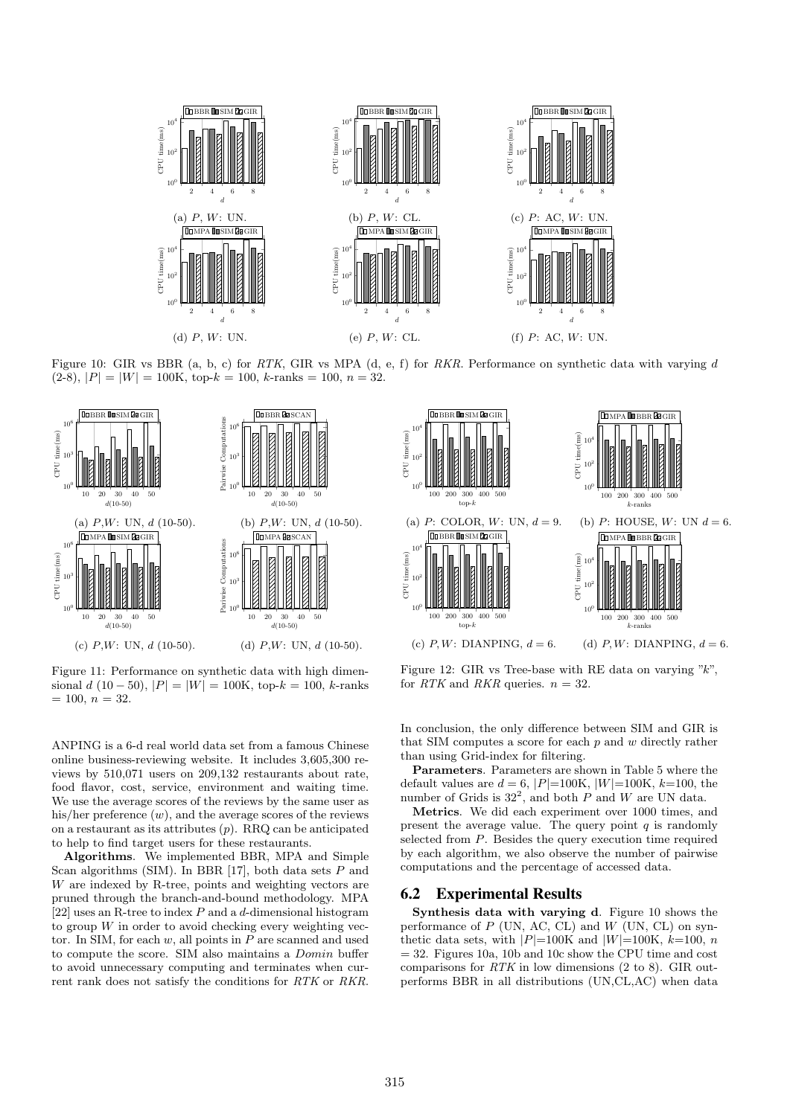

Figure 10: GIR vs BBR (a, b, c) for RTK, GIR vs MPA (d, e, f) for RKR. Performance on synthetic data with varying d  $(2-8), |P| = |W| = 100$ K, top- $k = 100, k$ -ranks = 100,  $n = 32$ .



Figure 11: Performance on synthetic data with high dimensional d (10 − 50),  $|P| = |W| = 100K$ , top- $k = 100$ , k-ranks  $= 100, n = 32.$ 

ANPING is a 6-d real world data set from a famous Chinese online business-reviewing website. It includes 3,605,300 reviews by 510,071 users on 209,132 restaurants about rate, food flavor, cost, service, environment and waiting time. We use the average scores of the reviews by the same user as his/her preference  $(w)$ , and the average scores of the reviews on a restaurant as its attributes  $(p)$ . RRQ can be anticipated to help to find target users for these restaurants.

Algorithms. We implemented BBR, MPA and Simple Scan algorithms (SIM). In BBR [17], both data sets  $P$  and W are indexed by R-tree, points and weighting vectors are pruned through the branch-and-bound methodology. MPA [22] uses an R-tree to index  $P$  and a d-dimensional histogram to group  $W$  in order to avoid checking every weighting vector. In SIM, for each  $w$ , all points in  $P$  are scanned and used to compute the score. SIM also maintains a Domin buffer to avoid unnecessary computing and terminates when current rank does not satisfy the conditions for RTK or RKR.



Figure 12: GIR vs Tree-base with RE data on varying  $"k"$ . for RTK and RKR queries.  $n = 32$ .

In conclusion, the only difference between SIM and GIR is that SIM computes a score for each  $p$  and  $w$  directly rather than using Grid-index for filtering.

Parameters. Parameters are shown in Table 5 where the default values are  $d = 6$ ,  $|P|=100$ K,  $|W|=100$ K,  $k=100$ , the number of Grids is  $32^2$ , and both P and W are UN data.

Metrics. We did each experiment over 1000 times, and present the average value. The query point  $q$  is randomly selected from P. Besides the query execution time required by each algorithm, we also observe the number of pairwise computations and the percentage of accessed data.

## 6.2 Experimental Results

Synthesis data with varying d. Figure 10 shows the performance of  $P$  (UN, AC, CL) and  $W$  (UN, CL) on synthetic data sets, with  $|P|=100$ K and  $|W|=100$ K,  $k=100$ , n  $= 32.$  Figures 10a, 10b and 10c show the CPU time and cost comparisons for  $RTK$  in low dimensions (2 to 8). GIR outperforms BBR in all distributions (UN,CL,AC) when data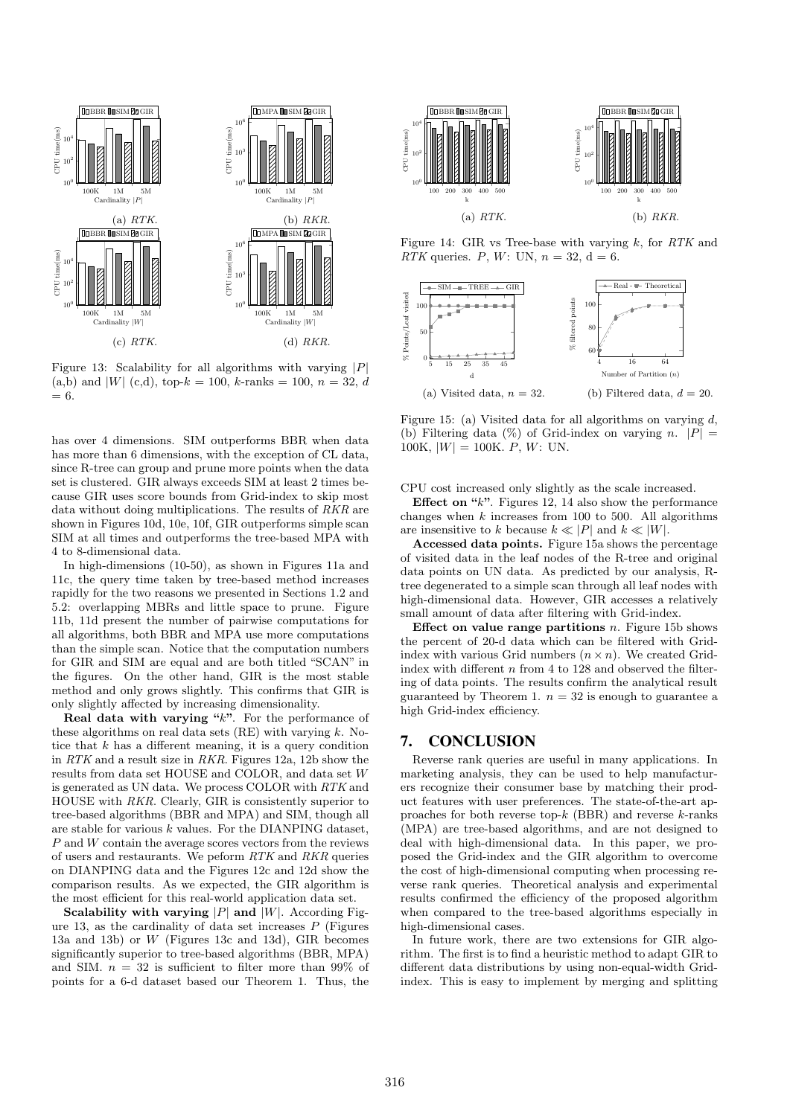

Figure 13: Scalability for all algorithms with varying  $|P|$ (a,b) and |W| (c,d), top- $k = 100$ , k-ranks = 100,  $n = 32$ , d = 6.

has over 4 dimensions. SIM outperforms BBR when data has more than 6 dimensions, with the exception of CL data. since R-tree can group and prune more points when the data set is clustered. GIR always exceeds SIM at least 2 times because GIR uses score bounds from Grid-index to skip most data without doing multiplications. The results of RKR are shown in Figures 10d, 10e, 10f, GIR outperforms simple scan SIM at all times and outperforms the tree-based MPA with 4 to 8-dimensional data.

In high-dimensions (10-50), as shown in Figures 11a and 11c, the query time taken by tree-based method increases rapidly for the two reasons we presented in Sections 1.2 and 5.2: overlapping MBRs and little space to prune. Figure 11b, 11d present the number of pairwise computations for all algorithms, both BBR and MPA use more computations than the simple scan. Notice that the computation numbers for GIR and SIM are equal and are both titled "SCAN" in the figures. On the other hand, GIR is the most stable method and only grows slightly. This confirms that GIR is only slightly affected by increasing dimensionality.

Real data with varying " $k$ ". For the performance of these algorithms on real data sets  $(RE)$  with varying k. Notice that  $k$  has a different meaning, it is a query condition in RTK and a result size in RKR. Figures  $12a$ ,  $12b$  show the results from data set HOUSE and COLOR, and data set W is generated as UN data. We process COLOR with RTK and HOUSE with RKR. Clearly, GIR is consistently superior to tree-based algorithms (BBR and MPA) and SIM, though all are stable for various  $k$  values. For the DIANPING dataset, P and W contain the average scores vectors from the reviews of users and restaurants. We peform RTK and RKR queries on DIANPING data and the Figures 12c and 12d show the comparison results. As we expected, the GIR algorithm is the most efficient for this real-world application data set.

Scalability with varying  $|P|$  and  $|W|$ . According Figure 13, as the cardinality of data set increases  $P$  (Figures 13a and 13b) or W (Figures 13c and 13d), GIR becomes significantly superior to tree-based algorithms (BBR, MPA) and SIM.  $n = 32$  is sufficient to filter more than 99% of points for a 6-d dataset based our Theorem 1. Thus, the



Figure 14: GIR vs Tree-base with varying  $k$ , for  $RTK$  and RTK queries. P, W: UN,  $n = 32$ ,  $d = 6$ .



Figure 15: (a) Visited data for all algorithms on varying  $d$ , (b) Filtering data (%) of Grid-index on varying n.  $|P| =$ 100K,  $|W| = 100$ K. P, W: UN.

CPU cost increased only slightly as the scale increased.

Effect on  $"k"$ . Figures 12, 14 also show the performance changes when  $k$  increases from 100 to 500. All algorithms are insensitive to k because  $k \ll |P|$  and  $k \ll |W|$ .

Accessed data points. Figure 15a shows the percentage of visited data in the leaf nodes of the R-tree and original data points on UN data. As predicted by our analysis, Rtree degenerated to a simple scan through all leaf nodes with high-dimensional data. However, GIR accesses a relatively small amount of data after filtering with Grid-index.

Effect on value range partitions  $n$ . Figure 15b shows the percent of 20-d data which can be filtered with Gridindex with various Grid numbers  $(n \times n)$ . We created Gridindex with different  $n$  from 4 to 128 and observed the filtering of data points. The results confirm the analytical result guaranteed by Theorem 1.  $n = 32$  is enough to guarantee a high Grid-index efficiency.

# 7. CONCLUSION

Reverse rank queries are useful in many applications. In marketing analysis, they can be used to help manufacturers recognize their consumer base by matching their product features with user preferences. The state-of-the-art approaches for both reverse top- $k$  (BBR) and reverse  $k$ -ranks (MPA) are tree-based algorithms, and are not designed to deal with high-dimensional data. In this paper, we proposed the Grid-index and the GIR algorithm to overcome the cost of high-dimensional computing when processing reverse rank queries. Theoretical analysis and experimental results confirmed the efficiency of the proposed algorithm when compared to the tree-based algorithms especially in high-dimensional cases.

In future work, there are two extensions for GIR algorithm. The first is to find a heuristic method to adapt GIR to different data distributions by using non-equal-width Gridindex. This is easy to implement by merging and splitting